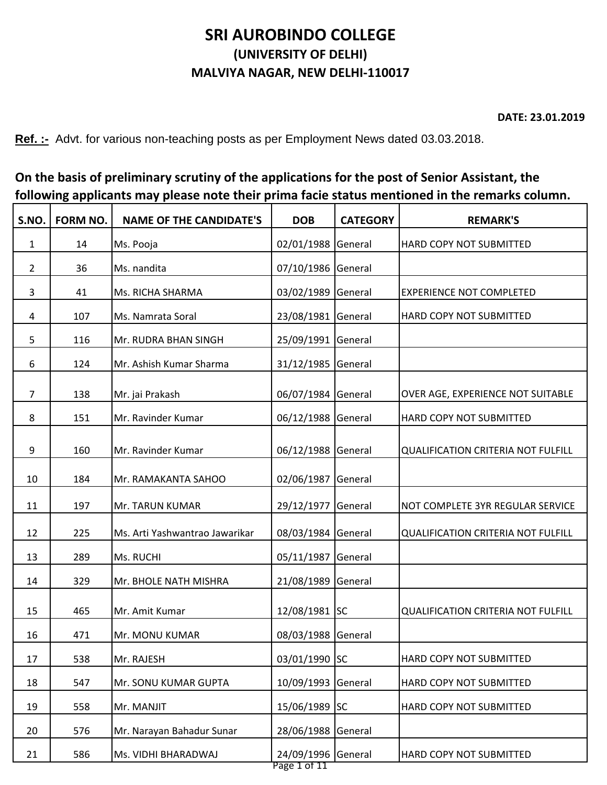## **SRI AUROBINDO COLLEGE (UNIVERSITY OF DELHI) MALVIYA NAGAR, NEW DELHI-110017**

**DATE: 23.01.2019**

**Ref. :-** Advt. for various non-teaching posts as per Employment News dated 03.03.2018.

| On the basis of preliminary scrutiny of the applications for the post of Senior Assistant, the |
|------------------------------------------------------------------------------------------------|
| following applicants may please note their prima facie status mentioned in the remarks column. |

| S.NO.          | <b>FORM NO.</b> | <b>NAME OF THE CANDIDATE'S</b> | <b>DOB</b>                         | <b>CATEGORY</b> | <b>REMARK'S</b>                           |
|----------------|-----------------|--------------------------------|------------------------------------|-----------------|-------------------------------------------|
| $\mathbf{1}$   | 14              | Ms. Pooja                      | 02/01/1988 General                 |                 | HARD COPY NOT SUBMITTED                   |
| $\overline{2}$ | 36              | Ms. nandita                    | 07/10/1986 General                 |                 |                                           |
| 3              | 41              | Ms. RICHA SHARMA               | 03/02/1989 General                 |                 | <b>EXPERIENCE NOT COMPLETED</b>           |
| 4              | 107             | Ms. Namrata Soral              | 23/08/1981 General                 |                 | HARD COPY NOT SUBMITTED                   |
| 5              | 116             | Mr. RUDRA BHAN SINGH           | 25/09/1991 General                 |                 |                                           |
| 6              | 124             | Mr. Ashish Kumar Sharma        | 31/12/1985 General                 |                 |                                           |
| $\overline{7}$ | 138             | Mr. jai Prakash                | 06/07/1984 General                 |                 | OVER AGE, EXPERIENCE NOT SUITABLE         |
| 8              | 151             | Mr. Ravinder Kumar             | 06/12/1988 General                 |                 | HARD COPY NOT SUBMITTED                   |
| 9              | 160             | Mr. Ravinder Kumar             | 06/12/1988 General                 |                 | <b>QUALIFICATION CRITERIA NOT FULFILL</b> |
| 10             | 184             | Mr. RAMAKANTA SAHOO            | 02/06/1987 General                 |                 |                                           |
| 11             | 197             | Mr. TARUN KUMAR                | 29/12/1977 General                 |                 | NOT COMPLETE 3YR REGULAR SERVICE          |
| 12             | 225             | Ms. Arti Yashwantrao Jawarikar | 08/03/1984 General                 |                 | <b>QUALIFICATION CRITERIA NOT FULFILL</b> |
| 13             | 289             | Ms. RUCHI                      | 05/11/1987 General                 |                 |                                           |
| 14             | 329             | Mr. BHOLE NATH MISHRA          | 21/08/1989 General                 |                 |                                           |
| 15             | 465             | Mr. Amit Kumar                 | 12/08/1981 SC                      |                 | <b>QUALIFICATION CRITERIA NOT FULFILL</b> |
| 16             | 471             | Mr. MONU KUMAR                 | 08/03/1988 General                 |                 |                                           |
| 17             | 538             | Mr. RAJESH                     | 03/01/1990 SC                      |                 | HARD COPY NOT SUBMITTED                   |
| 18             | 547             | Mr. SONU KUMAR GUPTA           | 10/09/1993 General                 |                 | HARD COPY NOT SUBMITTED                   |
| 19             | 558             | Mr. MANJIT                     | 15/06/1989 SC                      |                 | HARD COPY NOT SUBMITTED                   |
| 20             | 576             | Mr. Narayan Bahadur Sunar      | 28/06/1988 General                 |                 |                                           |
| 21             | 586             | Ms. VIDHI BHARADWAJ            | 24/09/1996 General<br>Page 1 of 11 |                 | HARD COPY NOT SUBMITTED                   |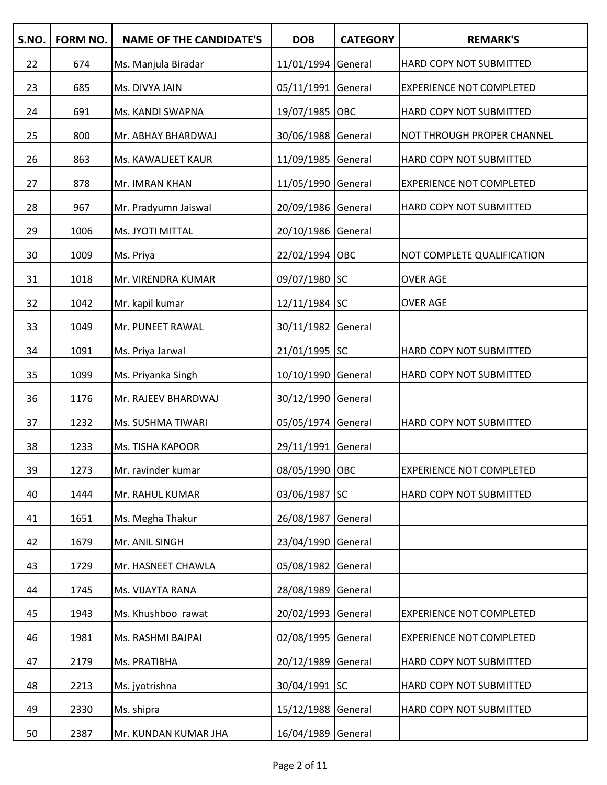| S.NO. | FORM NO. | <b>NAME OF THE CANDIDATE'S</b> | <b>DOB</b>         | <b>CATEGORY</b> | <b>REMARK'S</b>                 |
|-------|----------|--------------------------------|--------------------|-----------------|---------------------------------|
| 22    | 674      | Ms. Manjula Biradar            | 11/01/1994 General |                 | HARD COPY NOT SUBMITTED         |
| 23    | 685      | Ms. DIVYA JAIN                 | 05/11/1991 General |                 | <b>EXPERIENCE NOT COMPLETED</b> |
| 24    | 691      | Ms. KANDI SWAPNA               | 19/07/1985 OBC     |                 | HARD COPY NOT SUBMITTED         |
| 25    | 800      | Mr. ABHAY BHARDWAJ             | 30/06/1988 General |                 | NOT THROUGH PROPER CHANNEL      |
| 26    | 863      | Ms. KAWALJEET KAUR             | 11/09/1985 General |                 | HARD COPY NOT SUBMITTED         |
| 27    | 878      | Mr. IMRAN KHAN                 | 11/05/1990 General |                 | <b>EXPERIENCE NOT COMPLETED</b> |
| 28    | 967      | Mr. Pradyumn Jaiswal           | 20/09/1986 General |                 | HARD COPY NOT SUBMITTED         |
| 29    | 1006     | Ms. JYOTI MITTAL               | 20/10/1986 General |                 |                                 |
| 30    | 1009     | Ms. Priya                      | 22/02/1994 OBC     |                 | NOT COMPLETE QUALIFICATION      |
| 31    | 1018     | Mr. VIRENDRA KUMAR             | 09/07/1980 SC      |                 | <b>OVER AGE</b>                 |
| 32    | 1042     | Mr. kapil kumar                | 12/11/1984 SC      |                 | <b>OVER AGE</b>                 |
| 33    | 1049     | Mr. PUNEET RAWAL               | 30/11/1982 General |                 |                                 |
| 34    | 1091     | Ms. Priya Jarwal               | 21/01/1995 SC      |                 | HARD COPY NOT SUBMITTED         |
| 35    | 1099     | Ms. Priyanka Singh             | 10/10/1990 General |                 | HARD COPY NOT SUBMITTED         |
| 36    | 1176     | Mr. RAJEEV BHARDWAJ            | 30/12/1990 General |                 |                                 |
| 37    | 1232     | Ms. SUSHMA TIWARI              | 05/05/1974 General |                 | HARD COPY NOT SUBMITTED         |
| 38    | 1233     | Ms. TISHA KAPOOR               | 29/11/1991 General |                 |                                 |
| 39    | 1273     | Mr. ravinder kumar             | 08/05/1990 OBC     |                 | <b>EXPERIENCE NOT COMPLETED</b> |
| 40    | 1444     | Mr. RAHUL KUMAR                | 03/06/1987 SC      |                 | HARD COPY NOT SUBMITTED         |
| 41    | 1651     | Ms. Megha Thakur               | 26/08/1987         | General         |                                 |
| 42    | 1679     | Mr. ANIL SINGH                 | 23/04/1990 General |                 |                                 |
| 43    | 1729     | Mr. HASNEET CHAWLA             | 05/08/1982 General |                 |                                 |
| 44    | 1745     | Ms. VIJAYTA RANA               | 28/08/1989 General |                 |                                 |
| 45    | 1943     | Ms. Khushboo rawat             | 20/02/1993 General |                 | <b>EXPERIENCE NOT COMPLETED</b> |
| 46    | 1981     | Ms. RASHMI BAJPAI              | 02/08/1995 General |                 | <b>EXPERIENCE NOT COMPLETED</b> |
| 47    | 2179     | Ms. PRATIBHA                   | 20/12/1989 General |                 | HARD COPY NOT SUBMITTED         |
| 48    | 2213     | Ms. jyotrishna                 | 30/04/1991 SC      |                 | HARD COPY NOT SUBMITTED         |
| 49    | 2330     | Ms. shipra                     | 15/12/1988 General |                 | HARD COPY NOT SUBMITTED         |
| 50    | 2387     | Mr. KUNDAN KUMAR JHA           | 16/04/1989 General |                 |                                 |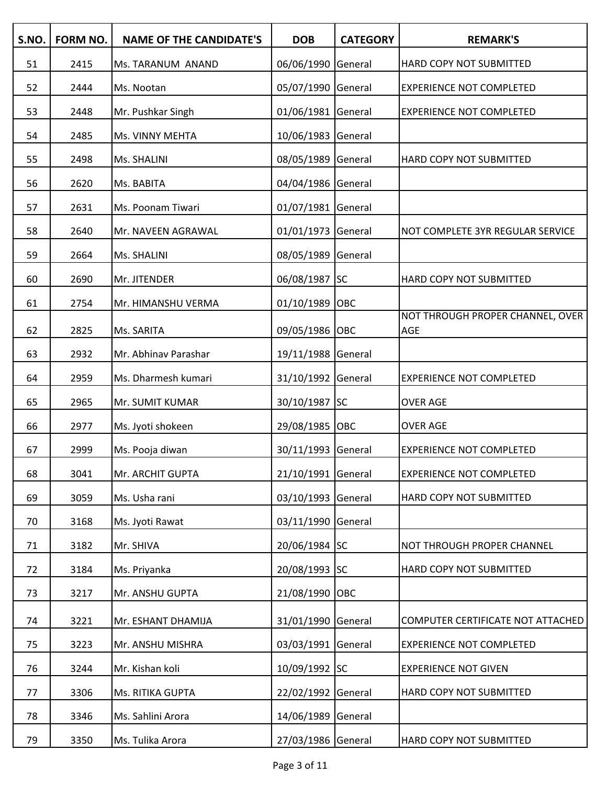| S.NO. | <b>FORM NO.</b> | <b>NAME OF THE CANDIDATE'S</b> | <b>DOB</b>         | <b>CATEGORY</b> | <b>REMARK'S</b>                         |
|-------|-----------------|--------------------------------|--------------------|-----------------|-----------------------------------------|
| 51    | 2415            | Ms. TARANUM ANAND              | 06/06/1990 General |                 | HARD COPY NOT SUBMITTED                 |
| 52    | 2444            | Ms. Nootan                     | 05/07/1990 General |                 | <b>EXPERIENCE NOT COMPLETED</b>         |
| 53    | 2448            | Mr. Pushkar Singh              | 01/06/1981 General |                 | <b>EXPERIENCE NOT COMPLETED</b>         |
| 54    | 2485            | Ms. VINNY MEHTA                | 10/06/1983 General |                 |                                         |
| 55    | 2498            | Ms. SHALINI                    | 08/05/1989 General |                 | HARD COPY NOT SUBMITTED                 |
| 56    | 2620            | Ms. BABITA                     | 04/04/1986 General |                 |                                         |
| 57    | 2631            | Ms. Poonam Tiwari              | 01/07/1981 General |                 |                                         |
| 58    | 2640            | Mr. NAVEEN AGRAWAL             | 01/01/1973 General |                 | NOT COMPLETE 3YR REGULAR SERVICE        |
| 59    | 2664            | Ms. SHALINI                    | 08/05/1989 General |                 |                                         |
| 60    | 2690            | Mr. JITENDER                   | 06/08/1987 SC      |                 | HARD COPY NOT SUBMITTED                 |
| 61    | 2754            | Mr. HIMANSHU VERMA             | 01/10/1989 OBC     |                 |                                         |
| 62    | 2825            | Ms. SARITA                     | 09/05/1986 OBC     |                 | NOT THROUGH PROPER CHANNEL, OVER<br>AGE |
| 63    | 2932            | Mr. Abhinav Parashar           | 19/11/1988 General |                 |                                         |
| 64    | 2959            | Ms. Dharmesh kumari            | 31/10/1992 General |                 | <b>EXPERIENCE NOT COMPLETED</b>         |
| 65    | 2965            | Mr. SUMIT KUMAR                | 30/10/1987 SC      |                 | <b>OVER AGE</b>                         |
| 66    | 2977            | Ms. Jyoti shokeen              | 29/08/1985 OBC     |                 | <b>OVER AGE</b>                         |
| 67    | 2999            | Ms. Pooja diwan                | 30/11/1993 General |                 | <b>EXPERIENCE NOT COMPLETED</b>         |
| 68    | 3041            | Mr. ARCHIT GUPTA               | 21/10/1991 General |                 | <b>EXPERIENCE NOT COMPLETED</b>         |
| 69    | 3059            | Ms. Usha rani                  | 03/10/1993 General |                 | HARD COPY NOT SUBMITTED                 |
| 70    | 3168            | Ms. Jyoti Rawat                | 03/11/1990 General |                 |                                         |
| 71    | 3182            | Mr. SHIVA                      | 20/06/1984 SC      |                 | NOT THROUGH PROPER CHANNEL              |
| 72    | 3184            | Ms. Priyanka                   | 20/08/1993 SC      |                 | HARD COPY NOT SUBMITTED                 |
| 73    | 3217            | Mr. ANSHU GUPTA                | 21/08/1990 OBC     |                 |                                         |
| 74    | 3221            | Mr. ESHANT DHAMIJA             | 31/01/1990 General |                 | COMPUTER CERTIFICATE NOT ATTACHED       |
| 75    | 3223            | Mr. ANSHU MISHRA               | 03/03/1991 General |                 | <b>EXPERIENCE NOT COMPLETED</b>         |
| 76    | 3244            | Mr. Kishan koli                | 10/09/1992 SC      |                 | <b>EXPERIENCE NOT GIVEN</b>             |
| 77    | 3306            | Ms. RITIKA GUPTA               | 22/02/1992 General |                 | HARD COPY NOT SUBMITTED                 |
| 78    | 3346            | Ms. Sahlini Arora              | 14/06/1989 General |                 |                                         |
| 79    | 3350            | Ms. Tulika Arora               | 27/03/1986 General |                 | HARD COPY NOT SUBMITTED                 |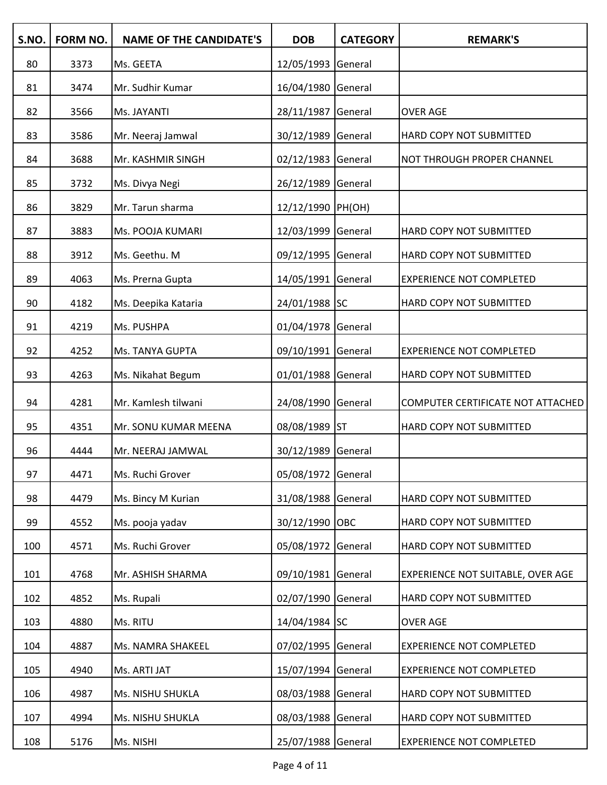| S.NO. | <b>FORM NO.</b> | <b>NAME OF THE CANDIDATE'S</b> | <b>DOB</b>         | <b>CATEGORY</b> | <b>REMARK'S</b>                   |
|-------|-----------------|--------------------------------|--------------------|-----------------|-----------------------------------|
| 80    | 3373            | Ms. GEETA                      | 12/05/1993 General |                 |                                   |
| 81    | 3474            | Mr. Sudhir Kumar               | 16/04/1980 General |                 |                                   |
| 82    | 3566            | Ms. JAYANTI                    | 28/11/1987 General |                 | <b>OVER AGE</b>                   |
| 83    | 3586            | Mr. Neeraj Jamwal              | 30/12/1989 General |                 | HARD COPY NOT SUBMITTED           |
| 84    | 3688            | Mr. KASHMIR SINGH              | 02/12/1983 General |                 | NOT THROUGH PROPER CHANNEL        |
| 85    | 3732            | Ms. Divya Negi                 | 26/12/1989 General |                 |                                   |
| 86    | 3829            | Mr. Tarun sharma               | 12/12/1990 PH(OH)  |                 |                                   |
| 87    | 3883            | Ms. POOJA KUMARI               | 12/03/1999 General |                 | HARD COPY NOT SUBMITTED           |
| 88    | 3912            | Ms. Geethu. M                  | 09/12/1995 General |                 | HARD COPY NOT SUBMITTED           |
| 89    | 4063            | Ms. Prerna Gupta               | 14/05/1991 General |                 | <b>EXPERIENCE NOT COMPLETED</b>   |
| 90    | 4182            | Ms. Deepika Kataria            | 24/01/1988 SC      |                 | HARD COPY NOT SUBMITTED           |
| 91    | 4219            | Ms. PUSHPA                     | 01/04/1978 General |                 |                                   |
| 92    | 4252            | Ms. TANYA GUPTA                | 09/10/1991 General |                 | <b>EXPERIENCE NOT COMPLETED</b>   |
| 93    | 4263            | Ms. Nikahat Begum              | 01/01/1988 General |                 | HARD COPY NOT SUBMITTED           |
| 94    | 4281            | Mr. Kamlesh tilwani            | 24/08/1990 General |                 | COMPUTER CERTIFICATE NOT ATTACHED |
| 95    | 4351            | Mr. SONU KUMAR MEENA           | 08/08/1989 ST      |                 | HARD COPY NOT SUBMITTED           |
| 96    | 4444            | Mr. NEERAJ JAMWAL              | 30/12/1989 General |                 |                                   |
| 97    | 4471            | Ms. Ruchi Grover               | 05/08/1972 General |                 |                                   |
| 98    | 4479            | Ms. Bincy M Kurian             | 31/08/1988 General |                 | HARD COPY NOT SUBMITTED           |
| 99    | 4552            | Ms. pooja yadav                | 30/12/1990 OBC     |                 | HARD COPY NOT SUBMITTED           |
| 100   | 4571            | Ms. Ruchi Grover               | 05/08/1972 General |                 | HARD COPY NOT SUBMITTED           |
| 101   | 4768            | Mr. ASHISH SHARMA              | 09/10/1981 General |                 | EXPERIENCE NOT SUITABLE, OVER AGE |
| 102   | 4852            | Ms. Rupali                     | 02/07/1990 General |                 | HARD COPY NOT SUBMITTED           |
| 103   | 4880            | Ms. RITU                       | 14/04/1984 SC      |                 | <b>OVER AGE</b>                   |
| 104   | 4887            | Ms. NAMRA SHAKEEL              | 07/02/1995 General |                 | <b>EXPERIENCE NOT COMPLETED</b>   |
| 105   | 4940            | Ms. ARTI JAT                   | 15/07/1994 General |                 | <b>EXPERIENCE NOT COMPLETED</b>   |
| 106   | 4987            | Ms. NISHU SHUKLA               | 08/03/1988 General |                 | HARD COPY NOT SUBMITTED           |
| 107   | 4994            | Ms. NISHU SHUKLA               | 08/03/1988 General |                 | HARD COPY NOT SUBMITTED           |
| 108   | 5176            | Ms. NISHI                      | 25/07/1988 General |                 | <b>EXPERIENCE NOT COMPLETED</b>   |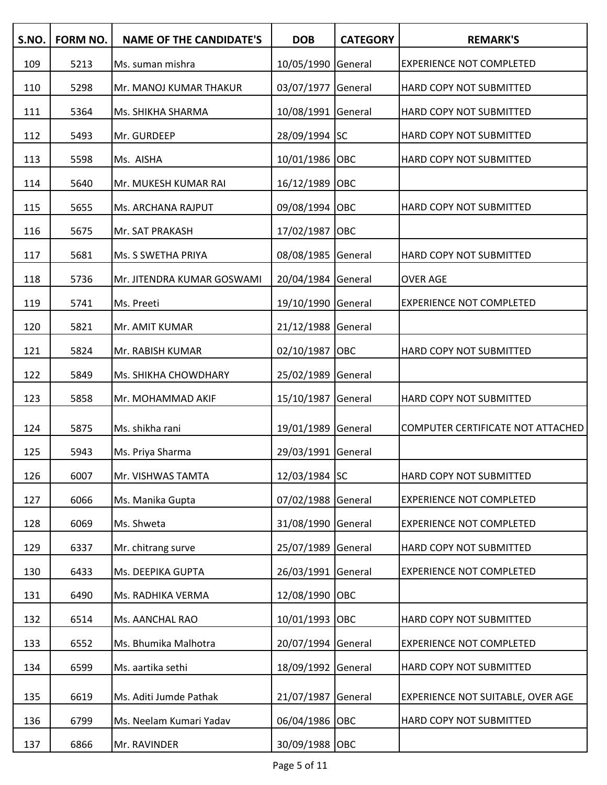| S.NO. | <b>FORM NO.</b> | <b>NAME OF THE CANDIDATE'S</b> | <b>DOB</b>         | <b>CATEGORY</b> | <b>REMARK'S</b>                   |
|-------|-----------------|--------------------------------|--------------------|-----------------|-----------------------------------|
| 109   | 5213            | Ms. suman mishra               | 10/05/1990 General |                 | <b>EXPERIENCE NOT COMPLETED</b>   |
| 110   | 5298            | Mr. MANOJ KUMAR THAKUR         | 03/07/1977         | General         | HARD COPY NOT SUBMITTED           |
| 111   | 5364            | Ms. SHIKHA SHARMA              | 10/08/1991 General |                 | HARD COPY NOT SUBMITTED           |
| 112   | 5493            | Mr. GURDEEP                    | 28/09/1994 SC      |                 | HARD COPY NOT SUBMITTED           |
| 113   | 5598            | Ms. AISHA                      | 10/01/1986 OBC     |                 | HARD COPY NOT SUBMITTED           |
| 114   | 5640            | Mr. MUKESH KUMAR RAI           | 16/12/1989 OBC     |                 |                                   |
| 115   | 5655            | Ms. ARCHANA RAJPUT             | 09/08/1994 OBC     |                 | HARD COPY NOT SUBMITTED           |
| 116   | 5675            | Mr. SAT PRAKASH                | 17/02/1987 OBC     |                 |                                   |
| 117   | 5681            | Ms. S SWETHA PRIYA             | 08/08/1985 General |                 | HARD COPY NOT SUBMITTED           |
| 118   | 5736            | Mr. JITENDRA KUMAR GOSWAMI     | 20/04/1984 General |                 | <b>OVER AGE</b>                   |
| 119   | 5741            | Ms. Preeti                     | 19/10/1990 General |                 | <b>EXPERIENCE NOT COMPLETED</b>   |
| 120   | 5821            | Mr. AMIT KUMAR                 | 21/12/1988 General |                 |                                   |
| 121   | 5824            | Mr. RABISH KUMAR               | 02/10/1987 OBC     |                 | HARD COPY NOT SUBMITTED           |
| 122   | 5849            | Ms. SHIKHA CHOWDHARY           | 25/02/1989 General |                 |                                   |
| 123   | 5858            | Mr. MOHAMMAD AKIF              | 15/10/1987         | General         | HARD COPY NOT SUBMITTED           |
| 124   | 5875            | Ms. shikha rani                | 19/01/1989 General |                 | COMPUTER CERTIFICATE NOT ATTACHED |
| 125   | 5943            | Ms. Priya Sharma               | 29/03/1991 General |                 |                                   |
| 126   | 6007            | Mr. VISHWAS TAMTA              | 12/03/1984 SC      |                 | HARD COPY NOT SUBMITTED           |
| 127   | 6066            | Ms. Manika Gupta               | 07/02/1988 General |                 | <b>EXPERIENCE NOT COMPLETED</b>   |
| 128   | 6069            | Ms. Shweta                     | 31/08/1990 General |                 | <b>EXPERIENCE NOT COMPLETED</b>   |
| 129   | 6337            | Mr. chitrang surve             | 25/07/1989 General |                 | HARD COPY NOT SUBMITTED           |
| 130   | 6433            | Ms. DEEPIKA GUPTA              | 26/03/1991 General |                 | <b>EXPERIENCE NOT COMPLETED</b>   |
| 131   | 6490            | Ms. RADHIKA VERMA              | 12/08/1990 OBC     |                 |                                   |
| 132   | 6514            | Ms. AANCHAL RAO                | 10/01/1993 OBC     |                 | HARD COPY NOT SUBMITTED           |
| 133   | 6552            | Ms. Bhumika Malhotra           | 20/07/1994 General |                 | <b>EXPERIENCE NOT COMPLETED</b>   |
| 134   | 6599            | Ms. aartika sethi              | 18/09/1992 General |                 | HARD COPY NOT SUBMITTED           |
| 135   | 6619            | Ms. Aditi Jumde Pathak         | 21/07/1987         | General         | EXPERIENCE NOT SUITABLE, OVER AGE |
| 136   | 6799            | Ms. Neelam Kumari Yadav        | 06/04/1986 OBC     |                 | HARD COPY NOT SUBMITTED           |
| 137   | 6866            | Mr. RAVINDER                   | 30/09/1988 OBC     |                 |                                   |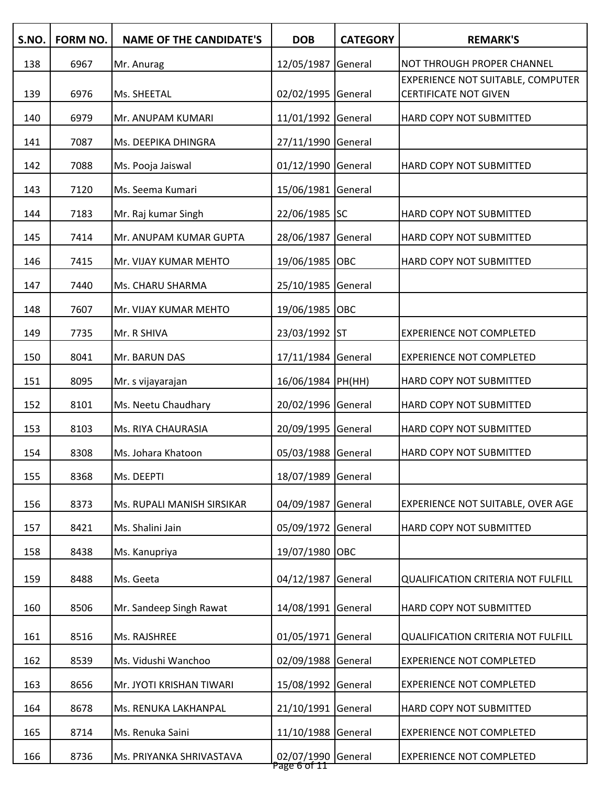| S.NO. | FORM NO. | <b>NAME OF THE CANDIDATE'S</b> | <b>DOB</b>                         | <b>CATEGORY</b> | <b>REMARK'S</b>                                                   |
|-------|----------|--------------------------------|------------------------------------|-----------------|-------------------------------------------------------------------|
| 138   | 6967     | Mr. Anurag                     | 12/05/1987                         | General         | NOT THROUGH PROPER CHANNEL                                        |
| 139   | 6976     | Ms. SHEETAL                    | 02/02/1995 General                 |                 | EXPERIENCE NOT SUITABLE, COMPUTER<br><b>CERTIFICATE NOT GIVEN</b> |
| 140   | 6979     | Mr. ANUPAM KUMARI              | 11/01/1992 General                 |                 | HARD COPY NOT SUBMITTED                                           |
| 141   | 7087     | Ms. DEEPIKA DHINGRA            | 27/11/1990 General                 |                 |                                                                   |
| 142   | 7088     | Ms. Pooja Jaiswal              | 01/12/1990 General                 |                 | HARD COPY NOT SUBMITTED                                           |
| 143   | 7120     | Ms. Seema Kumari               | 15/06/1981 General                 |                 |                                                                   |
| 144   | 7183     | Mr. Raj kumar Singh            | 22/06/1985 SC                      |                 | HARD COPY NOT SUBMITTED                                           |
| 145   | 7414     | Mr. ANUPAM KUMAR GUPTA         | 28/06/1987                         | General         | HARD COPY NOT SUBMITTED                                           |
| 146   | 7415     | Mr. VIJAY KUMAR MEHTO          | 19/06/1985 OBC                     |                 | HARD COPY NOT SUBMITTED                                           |
| 147   | 7440     | Ms. CHARU SHARMA               | 25/10/1985 General                 |                 |                                                                   |
| 148   | 7607     | Mr. VIJAY KUMAR MEHTO          | 19/06/1985 OBC                     |                 |                                                                   |
| 149   | 7735     | Mr. R SHIVA                    | 23/03/1992 ST                      |                 | <b>EXPERIENCE NOT COMPLETED</b>                                   |
| 150   | 8041     | Mr. BARUN DAS                  | 17/11/1984 General                 |                 | <b>EXPERIENCE NOT COMPLETED</b>                                   |
| 151   | 8095     | Mr. s vijayarajan              | 16/06/1984 PH(HH)                  |                 | HARD COPY NOT SUBMITTED                                           |
| 152   | 8101     | Ms. Neetu Chaudhary            | 20/02/1996 General                 |                 | HARD COPY NOT SUBMITTED                                           |
| 153   | 8103     | Ms. RIYA CHAURASIA             | 20/09/1995 General                 |                 | HARD COPY NOT SUBMITTED                                           |
| 154   | 8308     | Ms. Johara Khatoon             | 05/03/1988 General                 |                 | HARD COPY NOT SUBMITTED                                           |
| 155   | 8368     | Ms. DEEPTI                     | 18/07/1989 General                 |                 |                                                                   |
| 156   | 8373     | Ms. RUPALI MANISH SIRSIKAR     | 04/09/1987                         | General         | EXPERIENCE NOT SUITABLE, OVER AGE                                 |
| 157   | 8421     | Ms. Shalini Jain               | 05/09/1972                         | General         | HARD COPY NOT SUBMITTED                                           |
| 158   | 8438     | Ms. Kanupriya                  | 19/07/1980 OBC                     |                 |                                                                   |
| 159   | 8488     | Ms. Geeta                      | 04/12/1987                         | General         | <b>QUALIFICATION CRITERIA NOT FULFILL</b>                         |
| 160   | 8506     | Mr. Sandeep Singh Rawat        | 14/08/1991 General                 |                 | HARD COPY NOT SUBMITTED                                           |
|       |          |                                |                                    |                 |                                                                   |
| 161   | 8516     | Ms. RAJSHREE                   | 01/05/1971 General                 |                 | <b>QUALIFICATION CRITERIA NOT FULFILL</b>                         |
| 162   | 8539     | Ms. Vidushi Wanchoo            | 02/09/1988 General                 |                 | <b>EXPERIENCE NOT COMPLETED</b>                                   |
| 163   | 8656     | Mr. JYOTI KRISHAN TIWARI       | 15/08/1992 General                 |                 | <b>EXPERIENCE NOT COMPLETED</b>                                   |
| 164   | 8678     | Ms. RENUKA LAKHANPAL           | 21/10/1991                         | General         | HARD COPY NOT SUBMITTED                                           |
| 165   | 8714     | Ms. Renuka Saini               | 11/10/1988 General                 |                 | <b>EXPERIENCE NOT COMPLETED</b>                                   |
| 166   | 8736     | Ms. PRIYANKA SHRIVASTAVA       | 02/07/1990 General<br>Page 6 of 11 |                 | <b>EXPERIENCE NOT COMPLETED</b>                                   |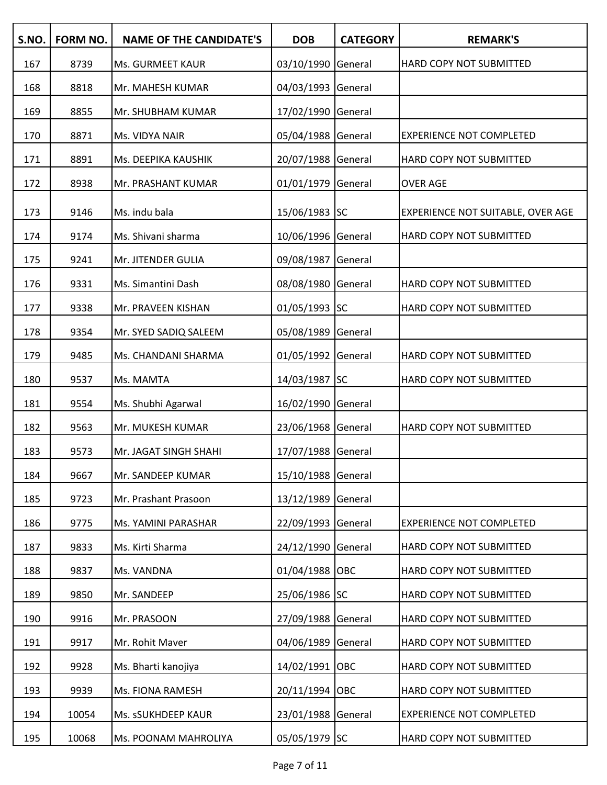| S.NO. | FORM NO. | <b>NAME OF THE CANDIDATE'S</b> | <b>DOB</b>         | <b>CATEGORY</b> | <b>REMARK'S</b>                   |
|-------|----------|--------------------------------|--------------------|-----------------|-----------------------------------|
| 167   | 8739     | Ms. GURMEET KAUR               | 03/10/1990 General |                 | HARD COPY NOT SUBMITTED           |
| 168   | 8818     | Mr. MAHESH KUMAR               | 04/03/1993 General |                 |                                   |
| 169   | 8855     | Mr. SHUBHAM KUMAR              | 17/02/1990 General |                 |                                   |
| 170   | 8871     | Ms. VIDYA NAIR                 | 05/04/1988 General |                 | <b>EXPERIENCE NOT COMPLETED</b>   |
| 171   | 8891     | Ms. DEEPIKA KAUSHIK            | 20/07/1988 General |                 | HARD COPY NOT SUBMITTED           |
| 172   | 8938     | Mr. PRASHANT KUMAR             | 01/01/1979 General |                 | <b>OVER AGE</b>                   |
| 173   | 9146     | Ms. indu bala                  | 15/06/1983 SC      |                 | EXPERIENCE NOT SUITABLE, OVER AGE |
| 174   | 9174     | Ms. Shivani sharma             | 10/06/1996 General |                 | HARD COPY NOT SUBMITTED           |
| 175   | 9241     | Mr. JITENDER GULIA             | 09/08/1987         | General         |                                   |
| 176   | 9331     | Ms. Simantini Dash             | 08/08/1980 General |                 | HARD COPY NOT SUBMITTED           |
| 177   | 9338     | Mr. PRAVEEN KISHAN             | 01/05/1993 SC      |                 | HARD COPY NOT SUBMITTED           |
| 178   | 9354     | Mr. SYED SADIQ SALEEM          | 05/08/1989 General |                 |                                   |
| 179   | 9485     | Ms. CHANDANI SHARMA            | 01/05/1992 General |                 | HARD COPY NOT SUBMITTED           |
| 180   | 9537     | Ms. MAMTA                      | 14/03/1987 SC      |                 | HARD COPY NOT SUBMITTED           |
| 181   | 9554     | Ms. Shubhi Agarwal             | 16/02/1990 General |                 |                                   |
| 182   | 9563     | Mr. MUKESH KUMAR               | 23/06/1968 General |                 | HARD COPY NOT SUBMITTED           |
| 183   | 9573     | Mr. JAGAT SINGH SHAHI          | 17/07/1988 General |                 |                                   |
| 184   | 9667     | Mr. SANDEEP KUMAR              | 15/10/1988 General |                 |                                   |
| 185   | 9723     | Mr. Prashant Prasoon           | 13/12/1989 General |                 |                                   |
| 186   | 9775     | Ms. YAMINI PARASHAR            | 22/09/1993 General |                 | <b>EXPERIENCE NOT COMPLETED</b>   |
| 187   | 9833     | Ms. Kirti Sharma               | 24/12/1990 General |                 | HARD COPY NOT SUBMITTED           |
| 188   | 9837     | Ms. VANDNA                     | 01/04/1988 OBC     |                 | HARD COPY NOT SUBMITTED           |
| 189   | 9850     | Mr. SANDEEP                    | 25/06/1986 SC      |                 | HARD COPY NOT SUBMITTED           |
| 190   | 9916     | Mr. PRASOON                    | 27/09/1988 General |                 | HARD COPY NOT SUBMITTED           |
| 191   | 9917     | Mr. Rohit Maver                | 04/06/1989 General |                 | HARD COPY NOT SUBMITTED           |
| 192   | 9928     | Ms. Bharti kanojiya            | 14/02/1991 OBC     |                 | HARD COPY NOT SUBMITTED           |
| 193   | 9939     | Ms. FIONA RAMESH               | 20/11/1994 OBC     |                 | HARD COPY NOT SUBMITTED           |
| 194   | 10054    | Ms. sSUKHDEEP KAUR             | 23/01/1988 General |                 | <b>EXPERIENCE NOT COMPLETED</b>   |
| 195   | 10068    | Ms. POONAM MAHROLIYA           | 05/05/1979 SC      |                 | HARD COPY NOT SUBMITTED           |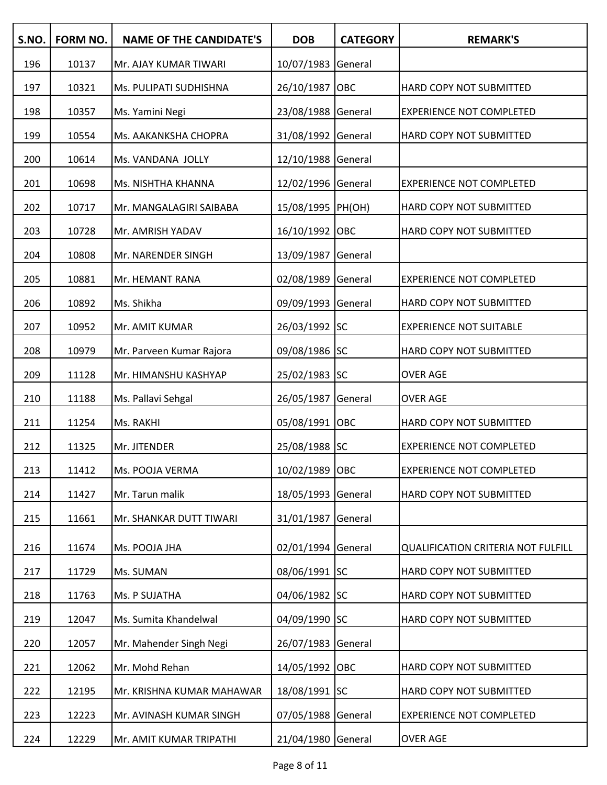| S.NO. | <b>FORM NO.</b> | <b>NAME OF THE CANDIDATE'S</b> | <b>DOB</b>         | <b>CATEGORY</b> | <b>REMARK'S</b>                           |
|-------|-----------------|--------------------------------|--------------------|-----------------|-------------------------------------------|
| 196   | 10137           | Mr. AJAY KUMAR TIWARI          | 10/07/1983 General |                 |                                           |
| 197   | 10321           | Ms. PULIPATI SUDHISHNA         | 26/10/1987         | OBC             | <b>HARD COPY NOT SUBMITTED</b>            |
| 198   | 10357           | Ms. Yamini Negi                | 23/08/1988 General |                 | <b>EXPERIENCE NOT COMPLETED</b>           |
| 199   | 10554           | Ms. AAKANKSHA CHOPRA           | 31/08/1992 General |                 | <b>HARD COPY NOT SUBMITTED</b>            |
| 200   | 10614           | Ms. VANDANA JOLLY              | 12/10/1988 General |                 |                                           |
| 201   | 10698           | Ms. NISHTHA KHANNA             | 12/02/1996 General |                 | <b>EXPERIENCE NOT COMPLETED</b>           |
| 202   | 10717           | Mr. MANGALAGIRI SAIBABA        | 15/08/1995  PH(OH) |                 | <b>HARD COPY NOT SUBMITTED</b>            |
| 203   | 10728           | Mr. AMRISH YADAV               | 16/10/1992 OBC     |                 | <b>HARD COPY NOT SUBMITTED</b>            |
| 204   | 10808           | Mr. NARENDER SINGH             | 13/09/1987 General |                 |                                           |
| 205   | 10881           | Mr. HEMANT RANA                | 02/08/1989 General |                 | <b>EXPERIENCE NOT COMPLETED</b>           |
| 206   | 10892           | Ms. Shikha                     | 09/09/1993 General |                 | <b>HARD COPY NOT SUBMITTED</b>            |
| 207   | 10952           | Mr. AMIT KUMAR                 | 26/03/1992 SC      |                 | <b>EXPERIENCE NOT SUITABLE</b>            |
| 208   | 10979           | Mr. Parveen Kumar Rajora       | 09/08/1986 SC      |                 | <b>HARD COPY NOT SUBMITTED</b>            |
| 209   | 11128           | Mr. HIMANSHU KASHYAP           | 25/02/1983 SC      |                 | <b>OVER AGE</b>                           |
| 210   | 11188           | Ms. Pallavi Sehgal             | 26/05/1987 General |                 | <b>OVER AGE</b>                           |
| 211   | 11254           | Ms. RAKHI                      | 05/08/1991 OBC     |                 | <b>HARD COPY NOT SUBMITTED</b>            |
| 212   | 11325           | Mr. JITENDER                   | 25/08/1988 SC      |                 | <b>EXPERIENCE NOT COMPLETED</b>           |
| 213   | 11412           | Ms. POOJA VERMA                | 10/02/1989 OBC     |                 | <b>EXPERIENCE NOT COMPLETED</b>           |
| 214   | 11427           | Mr. Tarun malik                | 18/05/1993 General |                 | <b>HARD COPY NOT SUBMITTED</b>            |
| 215   | 11661           | Mr. SHANKAR DUTT TIWARI        | 31/01/1987         | General         |                                           |
| 216   | 11674           | Ms. POOJA JHA                  | 02/01/1994 General |                 | <b>QUALIFICATION CRITERIA NOT FULFILL</b> |
| 217   | 11729           | Ms. SUMAN                      | 08/06/1991 SC      |                 | HARD COPY NOT SUBMITTED                   |
| 218   | 11763           | Ms. P SUJATHA                  | 04/06/1982 SC      |                 | HARD COPY NOT SUBMITTED                   |
| 219   | 12047           | Ms. Sumita Khandelwal          | 04/09/1990 SC      |                 | HARD COPY NOT SUBMITTED                   |
| 220   | 12057           | Mr. Mahender Singh Negi        | 26/07/1983 General |                 |                                           |
| 221   | 12062           | Mr. Mohd Rehan                 | 14/05/1992 OBC     |                 | HARD COPY NOT SUBMITTED                   |
| 222   | 12195           | Mr. KRISHNA KUMAR MAHAWAR      | 18/08/1991 SC      |                 | HARD COPY NOT SUBMITTED                   |
| 223   | 12223           | Mr. AVINASH KUMAR SINGH        | 07/05/1988 General |                 | <b>EXPERIENCE NOT COMPLETED</b>           |
| 224   | 12229           | Mr. AMIT KUMAR TRIPATHI        | 21/04/1980 General |                 | <b>OVER AGE</b>                           |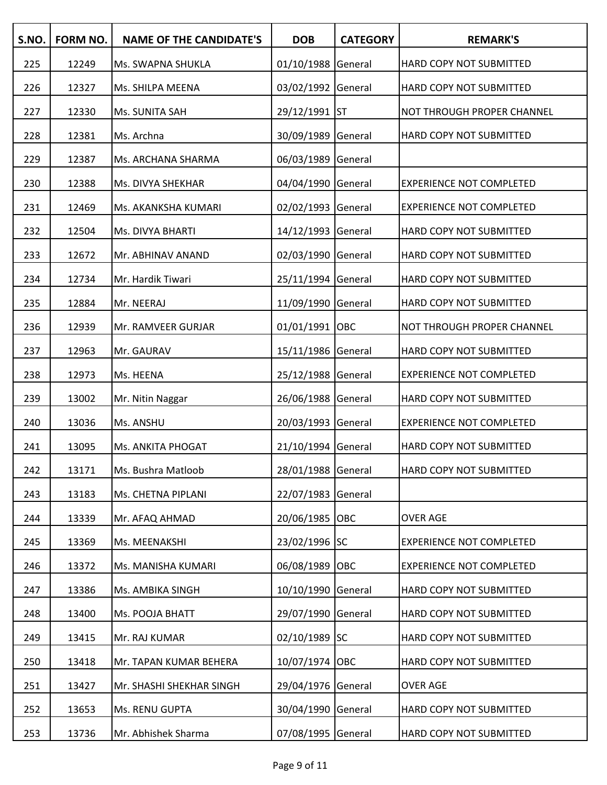| S.NO. | FORM NO. | <b>NAME OF THE CANDIDATE'S</b> | <b>DOB</b>         | <b>CATEGORY</b> | <b>REMARK'S</b>                 |
|-------|----------|--------------------------------|--------------------|-----------------|---------------------------------|
| 225   | 12249    | Ms. SWAPNA SHUKLA              | 01/10/1988 General |                 | HARD COPY NOT SUBMITTED         |
| 226   | 12327    | Ms. SHILPA MEENA               | 03/02/1992 General |                 | <b>HARD COPY NOT SUBMITTED</b>  |
| 227   | 12330    | Ms. SUNITA SAH                 | 29/12/1991 ST      |                 | NOT THROUGH PROPER CHANNEL      |
| 228   | 12381    | Ms. Archna                     | 30/09/1989 General |                 | HARD COPY NOT SUBMITTED         |
| 229   | 12387    | Ms. ARCHANA SHARMA             | 06/03/1989 General |                 |                                 |
| 230   | 12388    | Ms. DIVYA SHEKHAR              | 04/04/1990 General |                 | <b>EXPERIENCE NOT COMPLETED</b> |
| 231   | 12469    | Ms. AKANKSHA KUMARI            | 02/02/1993 General |                 | <b>EXPERIENCE NOT COMPLETED</b> |
| 232   | 12504    | Ms. DIVYA BHARTI               | 14/12/1993 General |                 | HARD COPY NOT SUBMITTED         |
| 233   | 12672    | Mr. ABHINAV ANAND              | 02/03/1990 General |                 | HARD COPY NOT SUBMITTED         |
| 234   | 12734    | Mr. Hardik Tiwari              | 25/11/1994 General |                 | HARD COPY NOT SUBMITTED         |
| 235   | 12884    | Mr. NEERAJ                     | 11/09/1990 General |                 | HARD COPY NOT SUBMITTED         |
| 236   | 12939    | Mr. RAMVEER GURJAR             | 01/01/1991 OBC     |                 | NOT THROUGH PROPER CHANNEL      |
| 237   | 12963    | Mr. GAURAV                     | 15/11/1986 General |                 | HARD COPY NOT SUBMITTED         |
| 238   | 12973    | Ms. HEENA                      | 25/12/1988 General |                 | <b>EXPERIENCE NOT COMPLETED</b> |
| 239   | 13002    | Mr. Nitin Naggar               | 26/06/1988 General |                 | HARD COPY NOT SUBMITTED         |
| 240   | 13036    | Ms. ANSHU                      | 20/03/1993 General |                 | <b>EXPERIENCE NOT COMPLETED</b> |
| 241   | 13095    | Ms. ANKITA PHOGAT              | 21/10/1994 General |                 | HARD COPY NOT SUBMITTED         |
| 242   | 13171    | Ms. Bushra Matloob             | 28/01/1988 General |                 | HARD COPY NOT SUBMITTED         |
| 243   | 13183    | Ms. CHETNA PIPLANI             | 22/07/1983 General |                 |                                 |
| 244   | 13339    | Mr. AFAQ AHMAD                 | 20/06/1985 OBC     |                 | <b>OVER AGE</b>                 |
| 245   | 13369    | Ms. MEENAKSHI                  | 23/02/1996 SC      |                 | <b>EXPERIENCE NOT COMPLETED</b> |
| 246   | 13372    | Ms. MANISHA KUMARI             | 06/08/1989 OBC     |                 | <b>EXPERIENCE NOT COMPLETED</b> |
| 247   | 13386    | Ms. AMBIKA SINGH               | 10/10/1990 General |                 | HARD COPY NOT SUBMITTED         |
| 248   | 13400    | Ms. POOJA BHATT                | 29/07/1990 General |                 | HARD COPY NOT SUBMITTED         |
| 249   | 13415    | Mr. RAJ KUMAR                  | 02/10/1989 SC      |                 | HARD COPY NOT SUBMITTED         |
| 250   | 13418    | Mr. TAPAN KUMAR BEHERA         | 10/07/1974 OBC     |                 | HARD COPY NOT SUBMITTED         |
| 251   | 13427    | Mr. SHASHI SHEKHAR SINGH       | 29/04/1976 General |                 | <b>OVER AGE</b>                 |
| 252   | 13653    | Ms. RENU GUPTA                 | 30/04/1990 General |                 | HARD COPY NOT SUBMITTED         |
| 253   | 13736    | Mr. Abhishek Sharma            | 07/08/1995 General |                 | HARD COPY NOT SUBMITTED         |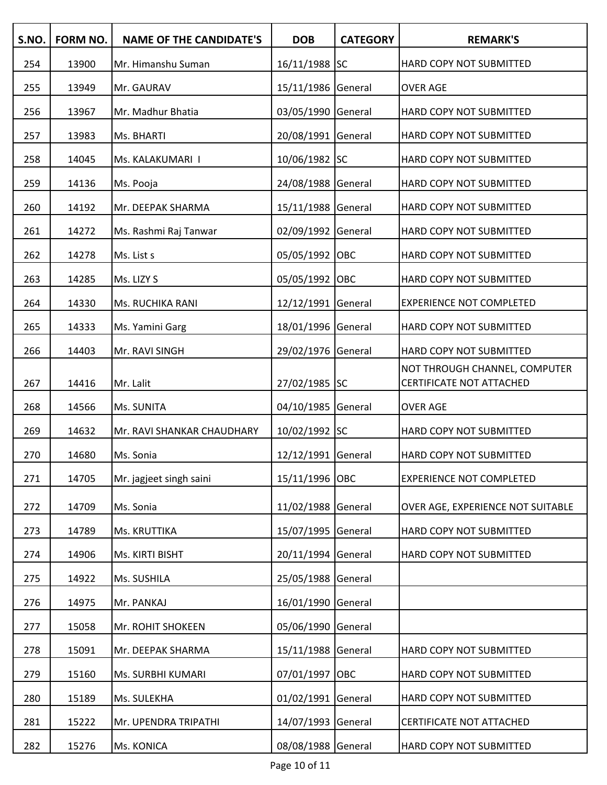| S.NO. | <b>FORM NO.</b> | <b>NAME OF THE CANDIDATE'S</b> | <b>DOB</b>         | <b>CATEGORY</b> | <b>REMARK'S</b>                                           |
|-------|-----------------|--------------------------------|--------------------|-----------------|-----------------------------------------------------------|
| 254   | 13900           | Mr. Himanshu Suman             | 16/11/1988 SC      |                 | <b>HARD COPY NOT SUBMITTED</b>                            |
| 255   | 13949           | Mr. GAURAV                     | 15/11/1986 General |                 | <b>OVER AGE</b>                                           |
| 256   | 13967           | Mr. Madhur Bhatia              | 03/05/1990 General |                 | <b>HARD COPY NOT SUBMITTED</b>                            |
| 257   | 13983           | Ms. BHARTI                     | 20/08/1991 General |                 | HARD COPY NOT SUBMITTED                                   |
| 258   | 14045           | Ms. KALAKUMARI I               | 10/06/1982 SC      |                 | HARD COPY NOT SUBMITTED                                   |
| 259   | 14136           | Ms. Pooja                      | 24/08/1988 General |                 | <b>HARD COPY NOT SUBMITTED</b>                            |
| 260   | 14192           | Mr. DEEPAK SHARMA              | 15/11/1988 General |                 | <b>HARD COPY NOT SUBMITTED</b>                            |
| 261   | 14272           | Ms. Rashmi Raj Tanwar          | 02/09/1992 General |                 | <b>HARD COPY NOT SUBMITTED</b>                            |
| 262   | 14278           | Ms. List s                     | 05/05/1992 OBC     |                 | <b>HARD COPY NOT SUBMITTED</b>                            |
| 263   | 14285           | Ms. LIZY S                     | 05/05/1992 OBC     |                 | <b>HARD COPY NOT SUBMITTED</b>                            |
| 264   | 14330           | <b>Ms. RUCHIKA RANI</b>        | 12/12/1991 General |                 | <b>EXPERIENCE NOT COMPLETED</b>                           |
| 265   | 14333           | Ms. Yamini Garg                | 18/01/1996 General |                 | <b>HARD COPY NOT SUBMITTED</b>                            |
| 266   | 14403           | Mr. RAVI SINGH                 | 29/02/1976 General |                 | <b>HARD COPY NOT SUBMITTED</b>                            |
| 267   | 14416           | Mr. Lalit                      | 27/02/1985 SC      |                 | NOT THROUGH CHANNEL, COMPUTER<br>CERTIFICATE NOT ATTACHED |
| 268   | 14566           | Ms. SUNITA                     | 04/10/1985 General |                 | <b>OVER AGE</b>                                           |
| 269   | 14632           | Mr. RAVI SHANKAR CHAUDHARY     | 10/02/1992 SC      |                 | <b>HARD COPY NOT SUBMITTED</b>                            |
| 270   | 14680           | Ms. Sonia                      | 12/12/1991 General |                 | HARD COPY NOT SUBMITTED                                   |
| 271   | 14705           | Mr. jagjeet singh saini        | 15/11/1996 OBC     |                 | <b>EXPERIENCE NOT COMPLETED</b>                           |
| 272   | 14709           | Ms. Sonia                      | 11/02/1988 General |                 | OVER AGE, EXPERIENCE NOT SUITABLE                         |
| 273   | 14789           | Ms. KRUTTIKA                   | 15/07/1995 General |                 | <b>HARD COPY NOT SUBMITTED</b>                            |
| 274   | 14906           | Ms. KIRTI BISHT                | 20/11/1994 General |                 | <b>HARD COPY NOT SUBMITTED</b>                            |
| 275   | 14922           | Ms. SUSHILA                    | 25/05/1988 General |                 |                                                           |
| 276   | 14975           | Mr. PANKAJ                     | 16/01/1990 General |                 |                                                           |
| 277   | 15058           | Mr. ROHIT SHOKEEN              | 05/06/1990 General |                 |                                                           |
| 278   | 15091           | Mr. DEEPAK SHARMA              | 15/11/1988 General |                 | <b>HARD COPY NOT SUBMITTED</b>                            |
| 279   | 15160           | Ms. SURBHI KUMARI              | 07/01/1997 OBC     |                 | HARD COPY NOT SUBMITTED                                   |
| 280   | 15189           | Ms. SULEKHA                    | 01/02/1991 General |                 | HARD COPY NOT SUBMITTED                                   |
| 281   | 15222           | Mr. UPENDRA TRIPATHI           | 14/07/1993 General |                 | <b>CERTIFICATE NOT ATTACHED</b>                           |
| 282   | 15276           | Ms. KONICA                     | 08/08/1988 General |                 | <b>HARD COPY NOT SUBMITTED</b>                            |